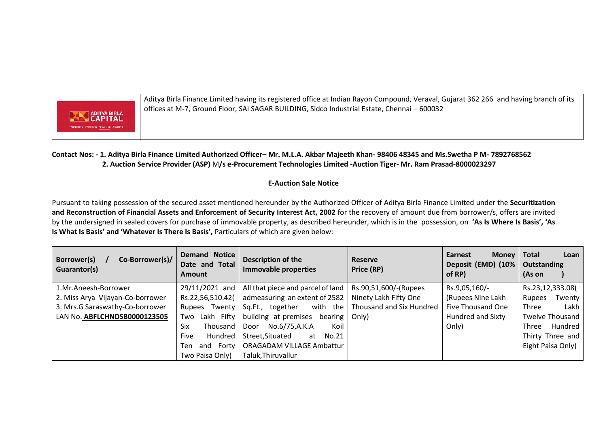

Aditya Birla Finance Limited having its registered office at Indian Rayon Compound, Veraval, Gujarat 362 266 and having branch of its offices at M-7, Ground Floor, SAI SAGAR BUILDING, Sidco Industrial Estate, Chennai – 600032

## **Contact Nos: - 1. Aditya Birla Finance Limited Authorized Officer– Mr. M.L.A. Akbar Majeeth Khan- 98406 48345 and Ms.Swetha P M- 7892768562 2. Auction Service Provider (ASP)** M**/s e-Procurement Technologies Limited -Auction Tiger- Mr. Ram Prasad-8000023297**

## **E-Auction Sale Notice**

Pursuant to taking possession of the secured asset mentioned hereunder by the Authorized Officer of Aditya Birla Finance Limited under the **Securitization and Reconstruction of Financial Assets and Enforcement of Security Interest Act, 2002** for the recovery of amount due from borrower/s, offers are invited by the undersigned in sealed covers for purchase of immovable property, as described hereunder, which is in the possession, on **'As Is Where Is Basis', 'As Is What Is Basis' and 'Whatever Is There Is Basis',** Particulars of which are given below:

| Co-Borrower(s)/<br>Borrower(s)<br>Guarantor(s) | <b>Demand Notice</b><br>Date and Total<br><b>Amount</b> | Description of the<br>Immovable properties                | <b>Reserve</b><br>Price (RP) | Earnest<br><b>Money</b><br>Deposit (EMD) (10%<br>of RP) | <b>Total</b><br>Loan<br>Outstanding<br>(As on |
|------------------------------------------------|---------------------------------------------------------|-----------------------------------------------------------|------------------------------|---------------------------------------------------------|-----------------------------------------------|
| 1.Mr.Aneesh-Borrower                           | 29/11/2021 and                                          | All that piece and parcel of land   Rs.90,51,600/-(Rupees |                              | Rs.9,05,160/-                                           | Rs.23,12,333.08(                              |
| 2. Miss Arya Vijayan-Co-borrower               | Rs.22,56,510.42(                                        | admeasuring an extent of 2582                             | Ninety Lakh Fifty One        | (Rupees Nine Lakh                                       | Twenty<br>Rupees                              |
| 3. Mrs.G Saraswathy-Co-borrower                | Rupees Twenty                                           | with the<br>together<br>Sq.Ft.,                           | Thousand and Six Hundred     | Five Thousand One                                       | Lakh<br>Three                                 |
| LAN No. ABFLCHNDSB0000123505                   | Fifty<br>Lakh<br>Two                                    | building at premises<br>bearing                           | Only)                        | Hundred and Sixty                                       | <b>Twelve Thousand</b>                        |
|                                                | Six<br>Thousand                                         | No.6/75,A.K.A<br>Koil<br>Door                             |                              | Only)                                                   | Hundred<br>Three                              |
|                                                | Five<br>Hundred                                         | Street, Situated<br>No.21<br>at                           |                              |                                                         | Thirty Three and                              |
|                                                | Forty<br>Ten<br>and                                     | <b>ORAGADAM VILLAGE Ambattur</b>                          |                              |                                                         | Eight Paisa Only)                             |
|                                                | Two Paisa Only)                                         | Taluk, Thiruvallur                                        |                              |                                                         |                                               |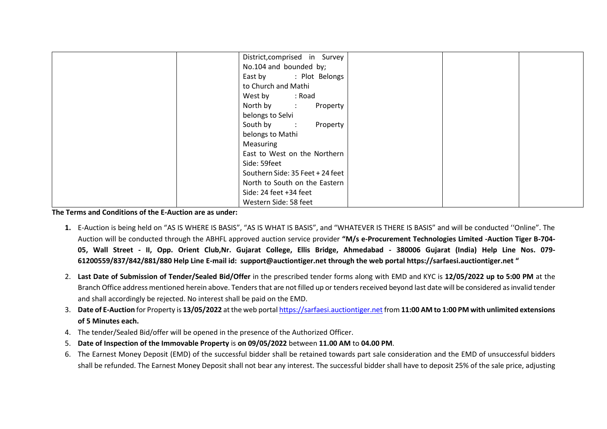| District, comprised in Survey    |
|----------------------------------|
| No.104 and bounded by;           |
| East by : Plot Belongs           |
| to Church and Mathi              |
| West by : Road                   |
| North by :<br>Property           |
| belongs to Selvi                 |
| South by : Property              |
| belongs to Mathi                 |
| Measuring                        |
| East to West on the Northern     |
| Side: 59feet                     |
| Southern Side: 35 Feet + 24 feet |
| North to South on the Eastern    |
| Side: 24 feet +34 feet           |
| Western Side: 58 feet            |

**The Terms and Conditions of the E-Auction are as under:** 

- **1.** E-Auction is being held on "AS IS WHERE IS BASIS", "AS IS WHAT IS BASIS", and "WHATEVER IS THERE IS BASIS" and will be conducted ''Online". The Auction will be conducted through the ABHFL approved auction service provider **"M/s e-Procurement Technologies Limited -Auction Tiger B-704- 05, Wall Street - II, Opp. Orient Club,Nr. Gujarat College, Ellis Bridge, Ahmedabad - 380006 Gujarat (India) Help Line Nos. 079- 61200559/837/842/881/880 Help Line E-mail id: [support@auctiontiger.net](mailto:support@auctiontiger.net) through the web portal [https://sarfaesi.auctiontiger.net](https://sarfaesi.auctiontiger.net/) "**
- 2. **Last Date of Submission of Tender/Sealed Bid/Offer** in the prescribed tender forms along with EMD and KYC is **12/05/2022 up to 5:00 PM** at the Branch Office address mentioned herein above. Tenders that are not filled up or tenders received beyond last date will be considered as invalid tender and shall accordingly be rejected. No interest shall be paid on the EMD.
- 3. **Date of E-Auction** for Property is **13/05/2022** at the web porta[l https://sarfaesi.auctiontiger.net](https://sarfaesi.auctiontiger.net/) from **11:00 AM to 1:00 PM with unlimited extensions of 5 Minutes each.**
- 4. The tender/Sealed Bid/offer will be opened in the presence of the Authorized Officer.
- 5. **Date of Inspection of the Immovable Property** is **on 09/05/2022** between **11.00 AM** to **04.00 PM**.
- 6. The Earnest Money Deposit (EMD) of the successful bidder shall be retained towards part sale consideration and the EMD of unsuccessful bidders shall be refunded. The Earnest Money Deposit shall not bear any interest. The successful bidder shall have to deposit 25% of the sale price, adjusting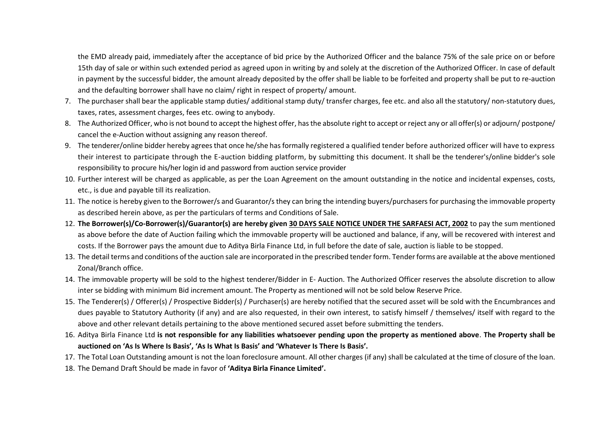the EMD already paid, immediately after the acceptance of bid price by the Authorized Officer and the balance 75% of the sale price on or before 15th day of sale or within such extended period as agreed upon in writing by and solely at the discretion of the Authorized Officer. In case of default in payment by the successful bidder, the amount already deposited by the offer shall be liable to be forfeited and property shall be put to re-auction and the defaulting borrower shall have no claim/ right in respect of property/ amount.

- 7. The purchaser shall bear the applicable stamp duties/ additional stamp duty/ transfer charges, fee etc. and also all the statutory/ non-statutory dues, taxes, rates, assessment charges, fees etc. owing to anybody.
- 8. The Authorized Officer, who is not bound to accept the highest offer, has the absolute right to accept or reject any or all offer(s) or adjourn/ postpone/ cancel the e-Auction without assigning any reason thereof.
- 9. The tenderer/online bidder hereby agrees that once he/she has formally registered a qualified tender before authorized officer will have to express their interest to participate through the E-auction bidding platform, by submitting this document. It shall be the tenderer's/online bidder's sole responsibility to procure his/her login id and password from auction service provider
- 10. Further interest will be charged as applicable, as per the Loan Agreement on the amount outstanding in the notice and incidental expenses, costs, etc., is due and payable till its realization.
- 11. The notice is hereby given to the Borrower/s and Guarantor/s they can bring the intending buyers/purchasers for purchasing the immovable property as described herein above, as per the particulars of terms and Conditions of Sale.
- 12. **The Borrower(s)/Co-Borrower(s)/Guarantor(s) are hereby given 30 DAYS SALE NOTICE UNDER THE SARFAESI ACT, 2002** to pay the sum mentioned as above before the date of Auction failing which the immovable property will be auctioned and balance, if any, will be recovered with interest and costs. If the Borrower pays the amount due to Aditya Birla Finance Ltd, in full before the date of sale, auction is liable to be stopped.
- 13. The detail terms and conditions of the auction sale are incorporated in the prescribed tender form. Tender forms are available at the above mentioned Zonal/Branch office.
- 14. The immovable property will be sold to the highest tenderer/Bidder in E- Auction. The Authorized Officer reserves the absolute discretion to allow inter se bidding with minimum Bid increment amount. The Property as mentioned will not be sold below Reserve Price.
- 15. The Tenderer(s) / Offerer(s) / Prospective Bidder(s) / Purchaser(s) are hereby notified that the secured asset will be sold with the Encumbrances and dues payable to Statutory Authority (if any) and are also requested, in their own interest, to satisfy himself / themselves/ itself with regard to the above and other relevant details pertaining to the above mentioned secured asset before submitting the tenders.
- 16. Aditya Birla Finance Ltd **is not responsible for any liabilities whatsoever pending upon the property as mentioned above**. **The Property shall be auctioned on 'As Is Where Is Basis', 'As Is What Is Basis' and 'Whatever Is There Is Basis'.**
- 17. The Total Loan Outstanding amount is not the loan foreclosure amount. All other charges (if any) shall be calculated at the time of closure of the loan.
- 18. The Demand Draft Should be made in favor of **'Aditya Birla Finance Limited'.**